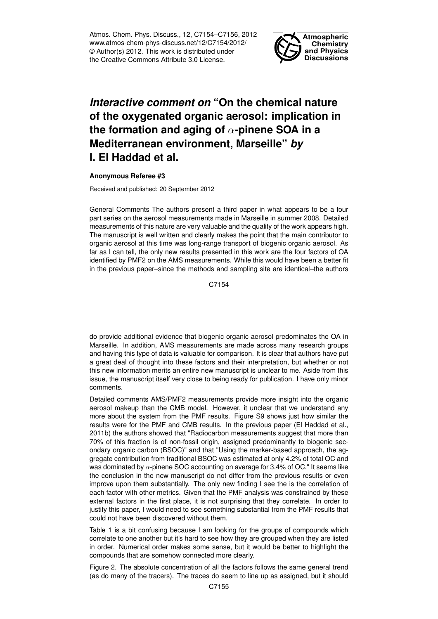Atmos. Chem. Phys. Discuss., 12, C7154–C7156, 2012 www.atmos-chem-phys-discuss.net/12/C7154/2012/ © Author(s) 2012. This work is distributed under the Creative Commons Attribute 3.0 License.



## *Interactive comment on* **"On the chemical nature of the oxygenated organic aerosol: implication in the formation and aging of** α**-pinene SOA in a Mediterranean environment, Marseille"** *by* **I. El Haddad et al.**

## **Anonymous Referee #3**

Received and published: 20 September 2012

General Comments The authors present a third paper in what appears to be a four part series on the aerosol measurements made in Marseille in summer 2008. Detailed measurements of this nature are very valuable and the quality of the work appears high. The manuscript is well written and clearly makes the point that the main contributor to organic aerosol at this time was long-range transport of biogenic organic aerosol. As far as I can tell, the only new results presented in this work are the four factors of OA identified by PMF2 on the AMS measurements. While this would have been a better fit in the previous paper–since the methods and sampling site are identical–the authors

C7154

do provide additional evidence that biogenic organic aerosol predominates the OA in Marseille. In addition, AMS measurements are made across many research groups and having this type of data is valuable for comparison. It is clear that authors have put a great deal of thought into these factors and their interpretation, but whether or not this new information merits an entire new manuscript is unclear to me. Aside from this issue, the manuscript itself very close to being ready for publication. I have only minor comments.

Detailed comments AMS/PMF2 measurements provide more insight into the organic aerosol makeup than the CMB model. However, it unclear that we understand any more about the system from the PMF results. Figure S9 shows just how similar the results were for the PMF and CMB results. In the previous paper (El Haddad et al., 2011b) the authors showed that "Radiocarbon measurements suggest that more than 70% of this fraction is of non-fossil origin, assigned predominantly to biogenic secondary organic carbon (BSOC)" and that "Using the marker-based approach, the aggregate contribution from traditional BSOC was estimated at only 4.2% of total OC and was dominated by  $\alpha$ -pinene SOC accounting on average for 3.4% of OC." It seems like the conclusion in the new manuscript do not differ from the previous results or even improve upon them substantially. The only new finding I see the is the correlation of each factor with other metrics. Given that the PMF analysis was constrained by these external factors in the first place, it is not surprising that they correlate. In order to justify this paper, I would need to see something substantial from the PMF results that could not have been discovered without them.

Table 1 is a bit confusing because I am looking for the groups of compounds which correlate to one another but it's hard to see how they are grouped when they are listed in order. Numerical order makes some sense, but it would be better to highlight the compounds that are somehow connected more clearly.

Figure 2. The absolute concentration of all the factors follows the same general trend (as do many of the tracers). The traces do seem to line up as assigned, but it should